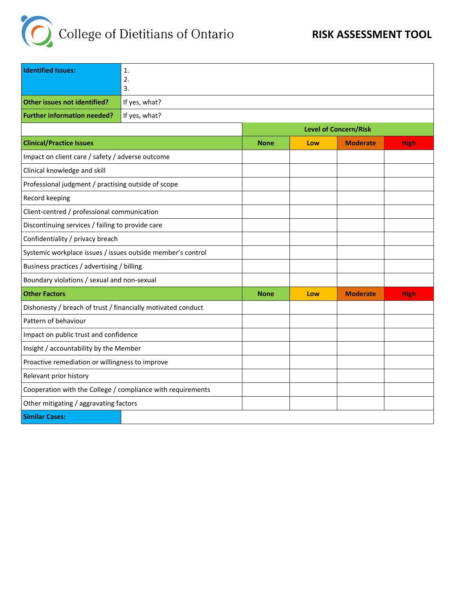

| <b>Identified Issues:</b>                                    | 1.            |             |                              |                 |             |
|--------------------------------------------------------------|---------------|-------------|------------------------------|-----------------|-------------|
|                                                              | 2.<br>3.      |             |                              |                 |             |
| Other issues not identified?                                 |               |             |                              |                 |             |
|                                                              | If yes, what? |             |                              |                 |             |
| <b>Further information needed?</b>                           | If yes, what? |             |                              |                 |             |
|                                                              |               |             | <b>Level of Concern/Risk</b> |                 |             |
| <b>Clinical/Practice Issues</b>                              |               | <b>None</b> | Low                          | <b>Moderate</b> | <b>High</b> |
| Impact on client care / safety / adverse outcome             |               |             |                              |                 |             |
| Clinical knowledge and skill                                 |               |             |                              |                 |             |
| Professional judgment / practising outside of scope          |               |             |                              |                 |             |
| Record keeping                                               |               |             |                              |                 |             |
| Client-centred / professional communication                  |               |             |                              |                 |             |
| Discontinuing services / failing to provide care             |               |             |                              |                 |             |
| Confidentiality / privacy breach                             |               |             |                              |                 |             |
| Systemic workplace issues / issues outside member's control  |               |             |                              |                 |             |
| Business practices / advertising / billing                   |               |             |                              |                 |             |
| Boundary violations / sexual and non-sexual                  |               |             |                              |                 |             |
| <b>Other Factors</b>                                         |               | <b>None</b> | Low                          | <b>Moderate</b> | <b>High</b> |
| Dishonesty / breach of trust / financially motivated conduct |               |             |                              |                 |             |
| Pattern of behaviour                                         |               |             |                              |                 |             |
| Impact on public trust and confidence                        |               |             |                              |                 |             |
| Insight / accountability by the Member                       |               |             |                              |                 |             |
| Proactive remediation or willingness to improve              |               |             |                              |                 |             |
| Relevant prior history                                       |               |             |                              |                 |             |
| Cooperation with the College / compliance with requirements  |               |             |                              |                 |             |
| Other mitigating / aggravating factors                       |               |             |                              |                 |             |
| <b>Similar Cases:</b>                                        |               |             |                              |                 |             |